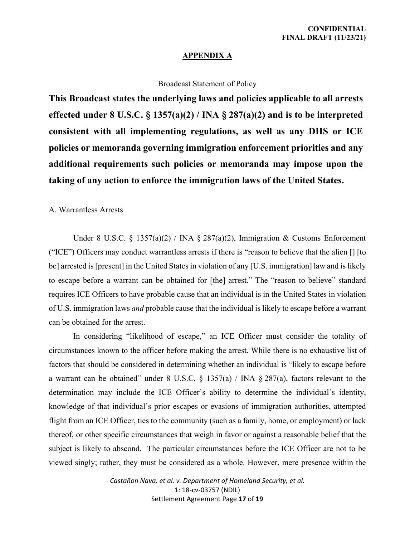## **APPENDIX A**

## Broadcast Statement of Policy

**This Broadcast states the underlying laws and policies applicable to all arrests effected under 8 U.S.C. § 1357(a)(2) / INA § 287(a)(2) and is to be interpreted consistent with all implementing regulations, as well as any DHS or ICE policies or memoranda governing immigration enforcement priorities and any additional requirements such policies or memoranda may impose upon the taking of any action to enforce the immigration laws of the United States.** 

## A. Warrantless Arrests

Under 8 U.S.C. § 1357(a)(2) / INA § 287(a)(2), Immigration & Customs Enforcement ("ICE") Officers may conduct warrantless arrests if there is "reason to believe that the alien [] [to be] arrested is [present] in the United States in violation of any [U.S. immigration] law and is likely to escape before a warrant can be obtained for [the] arrest." The "reason to believe" standard requires ICE Officers to have probable cause that an individual is in the United States in violation of U.S. immigration laws *and* probable cause that the individual is likely to escape before a warrant can be obtained for the arrest.

In considering "likelihood of escape," an ICE Officer must consider the totality of circumstances known to the officer before making the arrest. While there is no exhaustive list of factors that should be considered in determining whether an individual is "likely to escape before a warrant can be obtained" under 8 U.S.C.  $\S$  1357(a) / INA  $\S$  287(a), factors relevant to the determination may include the ICE Officer's ability to determine the individual's identity, knowledge of that individual's prior escapes or evasions of immigration authorities, attempted flight from an ICE Officer, ties to the community (such as a family, home, or employment) or lack thereof, or other specific circumstances that weigh in favor or against a reasonable belief that the subject is likely to abscond. The particular circumstances before the ICE Officer are not to be viewed singly; rather, they must be considered as a whole. However, mere presence within the

> *Castañon Nava, et al. v. Department of Homeland Security, et al.*  1: 18-cv-03757 (NDIL) Settlement Agreement Page **17** of **19**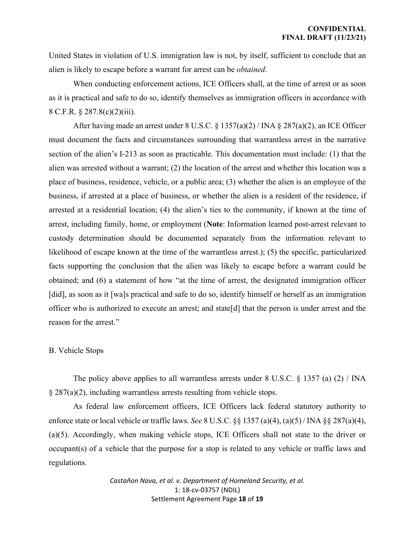United States in violation of U.S. immigration law is not, by itself, sufficient to conclude that an alien is likely to escape before a warrant for arrest can be *obtained*.

When conducting enforcement actions, ICE Officers shall, at the time of arrest or as soon as it is practical and safe to do so, identify themselves as immigration officers in accordance with 8 C.F.R. § 287.8(c)(2)(iii).

After having made an arrest under 8 U.S.C. § 1357(a)(2) / INA § 287(a)(2), an ICE Officer must document the facts and circumstances surrounding that warrantless arrest in the narrative section of the alien's I-213 as soon as practicable. This documentation must include: (1) that the alien was arrested without a warrant; (2) the location of the arrest and whether this location was a place of business, residence, vehicle, or a public area; (3) whether the alien is an employee of the business, if arrested at a place of business, or whether the alien is a resident of the residence, if arrested at a residential location; (4) the alien's ties to the community, if known at the time of arrest, including family, home, or employment (**Note**: Information learned post-arrest relevant to custody determination should be documented separately from the information relevant to likelihood of escape known at the time of the warrantless arrest.); (5) the specific, particularized facts supporting the conclusion that the alien was likely to escape before a warrant could be obtained; and (6) a statement of how "at the time of arrest, the designated immigration officer [did], as soon as it [wa]s practical and safe to do so, identify himself or herself as an immigration officer who is authorized to execute an arrest; and state[d] that the person is under arrest and the reason for the arrest."

## B. Vehicle Stops

The policy above applies to all warrantless arrests under  $8 \text{ U.S.C. } \S 1357 \text{ (a) (2) / INA}$  $§$  287(a)(2), including warrantless arrests resulting from vehicle stops.

 As federal law enforcement officers, ICE Officers lack federal statutory authority to enforce state or local vehicle or traffic laws. *See* 8 U.S.C. §§ 1357 (a)(4), (a)(5) / INA §§ 287(a)(4), (a)(5). Accordingly, when making vehicle stops, ICE Officers shall not state to the driver or occupant(s) of a vehicle that the purpose for a stop is related to any vehicle or traffic laws and regulations.

> *Castañon Nava, et al. v. Department of Homeland Security, et al.*  1: 18-cv-03757 (NDIL) Settlement Agreement Page **18** of **19**